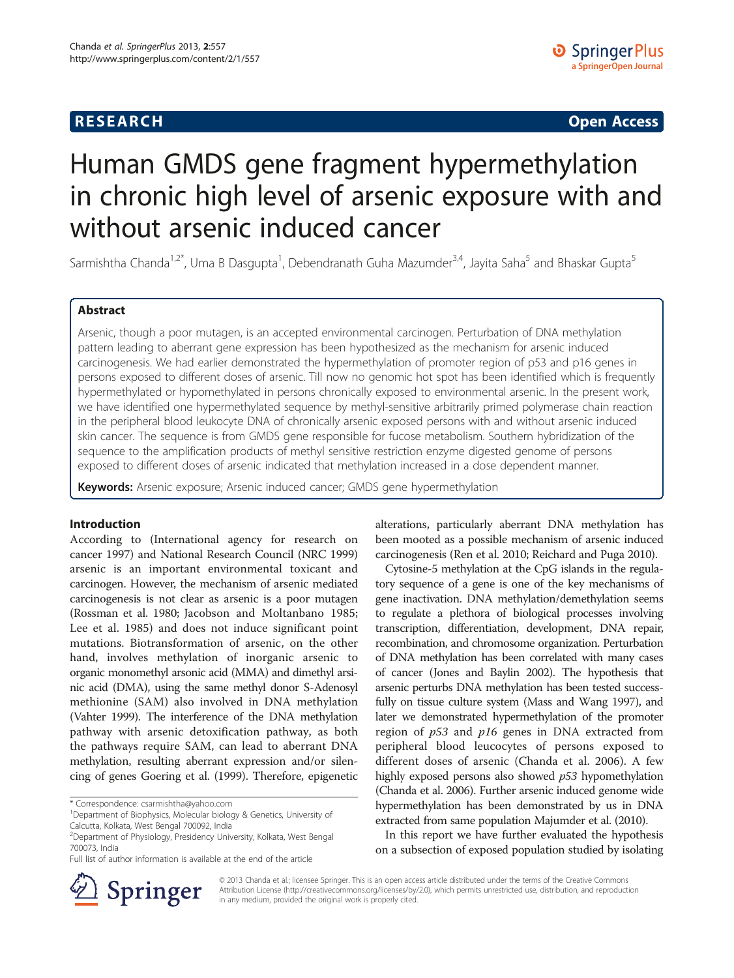# **RESEARCH CHE Open Access**

# Human GMDS gene fragment hypermethylation in chronic high level of arsenic exposure with and without arsenic induced cancer

Sarmishtha Chanda<sup>1,2\*</sup>, Uma B Dasgupta<sup>1</sup>, Debendranath Guha Mazumder<sup>3,4</sup>, Jayita Saha<sup>5</sup> and Bhaskar Gupta<sup>5</sup>

# Abstract

Arsenic, though a poor mutagen, is an accepted environmental carcinogen. Perturbation of DNA methylation pattern leading to aberrant gene expression has been hypothesized as the mechanism for arsenic induced carcinogenesis. We had earlier demonstrated the hypermethylation of promoter region of p53 and p16 genes in persons exposed to different doses of arsenic. Till now no genomic hot spot has been identified which is frequently hypermethylated or hypomethylated in persons chronically exposed to environmental arsenic. In the present work, we have identified one hypermethylated sequence by methyl-sensitive arbitrarily primed polymerase chain reaction in the peripheral blood leukocyte DNA of chronically arsenic exposed persons with and without arsenic induced skin cancer. The sequence is from GMDS gene responsible for fucose metabolism. Southern hybridization of the sequence to the amplification products of methyl sensitive restriction enzyme digested genome of persons exposed to different doses of arsenic indicated that methylation increased in a dose dependent manner.

Keywords: Arsenic exposure; Arsenic induced cancer; GMDS gene hypermethylation

#### Introduction

According to (International agency for research on cancer [1997\)](#page-11-0) and National Research Council (NRC [1999](#page-11-0)) arsenic is an important environmental toxicant and carcinogen. However, the mechanism of arsenic mediated carcinogenesis is not clear as arsenic is a poor mutagen (Rossman et al. [1980](#page-11-0); Jacobson and Moltanbano [1985](#page-11-0); Lee et al. [1985](#page-11-0)) and does not induce significant point mutations. Biotransformation of arsenic, on the other hand, involves methylation of inorganic arsenic to organic monomethyl arsonic acid (MMA) and dimethyl arsinic acid (DMA), using the same methyl donor S-Adenosyl methionine (SAM) also involved in DNA methylation (Vahter [1999](#page-11-0)). The interference of the DNA methylation pathway with arsenic detoxification pathway, as both the pathways require SAM, can lead to aberrant DNA methylation, resulting aberrant expression and/or silencing of genes Goering et al. [\(1999](#page-10-0)). Therefore, epigenetic

\* Correspondence: [csarmishtha@yahoo.com](mailto:csarmishtha@yahoo.com) <sup>1</sup>

alterations, particularly aberrant DNA methylation has been mooted as a possible mechanism of arsenic induced carcinogenesis (Ren et al. [2010](#page-11-0); Reichard and Puga [2010\)](#page-11-0).

Cytosine-5 methylation at the CpG islands in the regulatory sequence of a gene is one of the key mechanisms of gene inactivation. DNA methylation/demethylation seems to regulate a plethora of biological processes involving transcription, differentiation, development, DNA repair, recombination, and chromosome organization. Perturbation of DNA methylation has been correlated with many cases of cancer (Jones and Baylin [2002\)](#page-11-0). The hypothesis that arsenic perturbs DNA methylation has been tested successfully on tissue culture system (Mass and Wang [1997\)](#page-11-0), and later we demonstrated hypermethylation of the promoter region of  $p53$  and  $p16$  genes in DNA extracted from peripheral blood leucocytes of persons exposed to different doses of arsenic (Chanda et al. [2006](#page-10-0)). A few highly exposed persons also showed p53 hypomethylation (Chanda et al. [2006](#page-10-0)). Further arsenic induced genome wide hypermethylation has been demonstrated by us in DNA extracted from same population Majumder et al. [\(2010\)](#page-11-0).

In this report we have further evaluated the hypothesis on a subsection of exposed population studied by isolating



© 2013 Chanda et al.; licensee Springer. This is an open access article distributed under the terms of the Creative Commons Attribution License [\(http://creativecommons.org/licenses/by/2.0\)](http://creativecommons.org/licenses/by/2.0), which permits unrestricted use, distribution, and reproduction in any medium, provided the original work is properly cited.

<sup>&</sup>lt;sup>1</sup>Department of Biophysics, Molecular biology & Genetics, University of Calcutta, Kolkata, West Bengal 700092, India

<sup>2</sup> Department of Physiology, Presidency University, Kolkata, West Bengal 700073, India

Full list of author information is available at the end of the article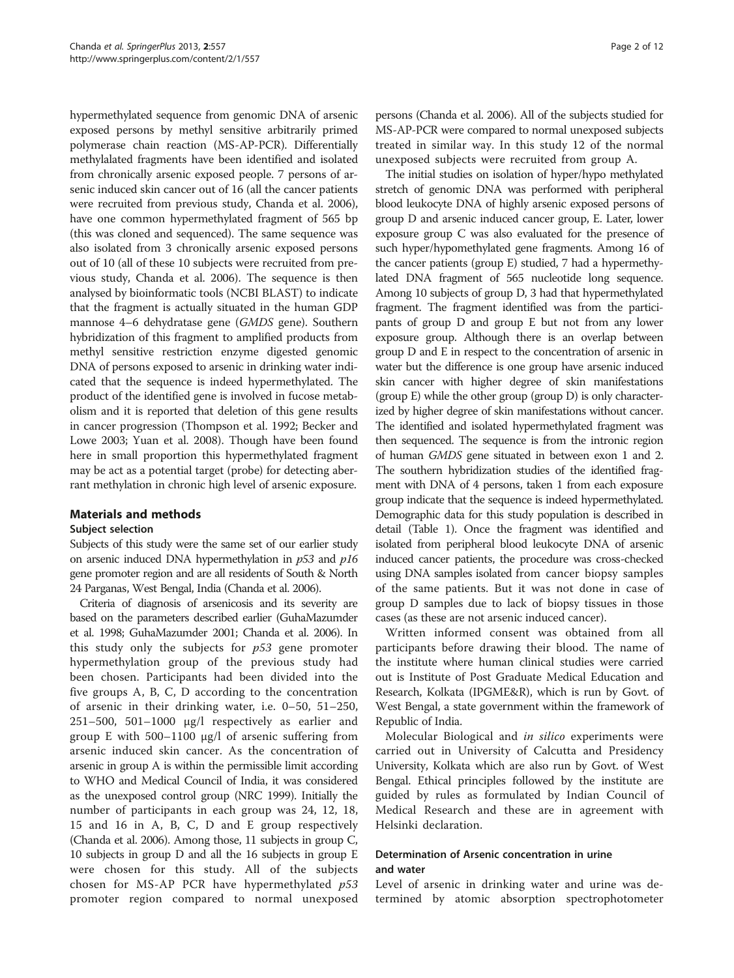hypermethylated sequence from genomic DNA of arsenic exposed persons by methyl sensitive arbitrarily primed polymerase chain reaction (MS-AP-PCR). Differentially methylalated fragments have been identified and isolated from chronically arsenic exposed people. 7 persons of arsenic induced skin cancer out of 16 (all the cancer patients were recruited from previous study, Chanda et al. [2006](#page-10-0)), have one common hypermethylated fragment of 565 bp (this was cloned and sequenced). The same sequence was also isolated from 3 chronically arsenic exposed persons out of 10 (all of these 10 subjects were recruited from previous study, Chanda et al. [2006](#page-10-0)). The sequence is then analysed by bioinformatic tools (NCBI BLAST) to indicate that the fragment is actually situated in the human GDP mannose 4–6 dehydratase gene (GMDS gene). Southern hybridization of this fragment to amplified products from methyl sensitive restriction enzyme digested genomic DNA of persons exposed to arsenic in drinking water indicated that the sequence is indeed hypermethylated. The product of the identified gene is involved in fucose metabolism and it is reported that deletion of this gene results in cancer progression (Thompson et al. [1992;](#page-11-0) Becker and Lowe [2003;](#page-10-0) Yuan et al. [2008\)](#page-11-0). Though have been found here in small proportion this hypermethylated fragment may be act as a potential target (probe) for detecting aberrant methylation in chronic high level of arsenic exposure.

# Materials and methods

#### Subject selection

Subjects of this study were the same set of our earlier study on arsenic induced DNA hypermethylation in  $p53$  and  $p16$ gene promoter region and are all residents of South & North 24 Parganas, West Bengal, India (Chanda et al. [2006\)](#page-10-0).

Criteria of diagnosis of arsenicosis and its severity are based on the parameters described earlier (GuhaMazumder et al. [1998;](#page-10-0) GuhaMazumder [2001](#page-10-0); Chanda et al. [2006](#page-10-0)). In this study only the subjects for  $p53$  gene promoter hypermethylation group of the previous study had been chosen. Participants had been divided into the five groups A, B, C, D according to the concentration of arsenic in their drinking water, i.e. 0–50, 51–250, 251–500, 501–1000 μg/l respectively as earlier and group E with 500–1100 μg/l of arsenic suffering from arsenic induced skin cancer. As the concentration of arsenic in group A is within the permissible limit according to WHO and Medical Council of India, it was considered as the unexposed control group (NRC [1999\)](#page-11-0). Initially the number of participants in each group was 24, 12, 18, 15 and 16 in A, B, C, D and E group respectively (Chanda et al. [2006](#page-10-0)). Among those, 11 subjects in group C, 10 subjects in group D and all the 16 subjects in group E were chosen for this study. All of the subjects chosen for MS-AP PCR have hypermethylated p53 promoter region compared to normal unexposed persons (Chanda et al. [2006](#page-10-0)). All of the subjects studied for MS-AP-PCR were compared to normal unexposed subjects treated in similar way. In this study 12 of the normal unexposed subjects were recruited from group A.

The initial studies on isolation of hyper/hypo methylated stretch of genomic DNA was performed with peripheral blood leukocyte DNA of highly arsenic exposed persons of group D and arsenic induced cancer group, E. Later, lower exposure group C was also evaluated for the presence of such hyper/hypomethylated gene fragments. Among 16 of the cancer patients (group E) studied, 7 had a hypermethylated DNA fragment of 565 nucleotide long sequence. Among 10 subjects of group D, 3 had that hypermethylated fragment. The fragment identified was from the participants of group D and group E but not from any lower exposure group. Although there is an overlap between group D and E in respect to the concentration of arsenic in water but the difference is one group have arsenic induced skin cancer with higher degree of skin manifestations (group E) while the other group (group D) is only characterized by higher degree of skin manifestations without cancer. The identified and isolated hypermethylated fragment was then sequenced. The sequence is from the intronic region of human GMDS gene situated in between exon 1 and 2. The southern hybridization studies of the identified fragment with DNA of 4 persons, taken 1 from each exposure group indicate that the sequence is indeed hypermethylated. Demographic data for this study population is described in detail (Table [1\)](#page-2-0). Once the fragment was identified and isolated from peripheral blood leukocyte DNA of arsenic induced cancer patients, the procedure was cross-checked using DNA samples isolated from cancer biopsy samples of the same patients. But it was not done in case of group D samples due to lack of biopsy tissues in those cases (as these are not arsenic induced cancer).

Written informed consent was obtained from all participants before drawing their blood. The name of the institute where human clinical studies were carried out is Institute of Post Graduate Medical Education and Research, Kolkata (IPGME&R), which is run by Govt. of West Bengal, a state government within the framework of Republic of India.

Molecular Biological and in silico experiments were carried out in University of Calcutta and Presidency University, Kolkata which are also run by Govt. of West Bengal. Ethical principles followed by the institute are guided by rules as formulated by Indian Council of Medical Research and these are in agreement with Helsinki declaration.

# Determination of Arsenic concentration in urine and water

Level of arsenic in drinking water and urine was determined by atomic absorption spectrophotometer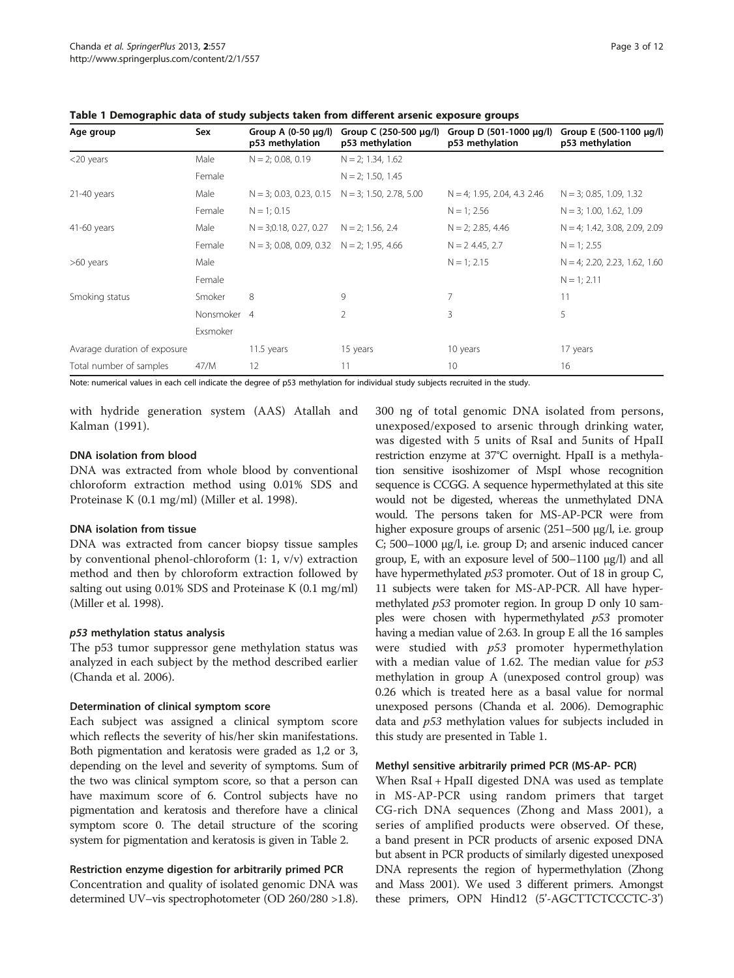| Age group                    | Sex         | Group A $(0-50 \mu g/l)$<br>p53 methylation     | Group C (250-500 μg/l)<br>p53 methylation             | Group D (501-1000 μg/l)<br>p53 methylation | Group E (500-1100 μg/l)<br>p53 methylation |
|------------------------------|-------------|-------------------------------------------------|-------------------------------------------------------|--------------------------------------------|--------------------------------------------|
| $<$ 20 years                 | Male        | $N = 2$ ; 0.08, 0.19                            | $N = 2$ ; 1.34, 1.62                                  |                                            |                                            |
|                              | Female      |                                                 | $N = 2$ ; 1.50, 1.45                                  |                                            |                                            |
| $21-40$ years                | Male        |                                                 | $N = 3$ ; 0.03, 0.23, 0.15 $N = 3$ ; 1.50, 2.78, 5.00 | $N = 4$ ; 1.95, 2.04, 4.3 2.46             | $N = 3$ ; 0.85, 1.09, 1.32                 |
|                              | Female      | $N = 1$ ; 0.15                                  |                                                       | $N = 1$ ; 2.56                             | $N = 3$ ; 1.00, 1.62, 1.09                 |
| 41-60 years                  | Male        | $N = 3;0.18, 0.27, 0.27$                        | $N = 2$ ; 1.56, 2.4                                   | $N = 2$ ; 2.85, 4.46                       | $N = 4$ ; 1.42, 3.08, 2.09, 2.09           |
|                              | Female      | $N = 3$ ; 0.08, 0.09, 0.32 $N = 2$ ; 1.95, 4.66 |                                                       | $N = 2$ 4.45, 2.7                          | $N = 1$ ; 2.55                             |
| >60 years                    | Male        |                                                 |                                                       | $N = 1$ ; 2.15                             | $N = 4$ ; 2.20, 2.23, 1.62, 1.60           |
|                              | Female      |                                                 |                                                       |                                            | $N = 1$ ; 2.11                             |
| Smoking status               | Smoker      | 8                                               | 9                                                     | 7                                          | 11                                         |
|                              | Nonsmoker 4 |                                                 | 2                                                     | 3                                          | 5                                          |
|                              | Exsmoker    |                                                 |                                                       |                                            |                                            |
| Avarage duration of exposure |             | 11.5 years                                      | 15 years                                              | 10 years                                   | 17 years                                   |
| Total number of samples      | 47/M        | 12                                              | 11                                                    | 10                                         | 16                                         |

<span id="page-2-0"></span>Table 1 Demographic data of study subjects taken from different arsenic exposure groups

Note: numerical values in each cell indicate the degree of p53 methylation for individual study subjects recruited in the study.

with hydride generation system (AAS) Atallah and Kalman ([1991\)](#page-10-0).

#### DNA isolation from blood

DNA was extracted from whole blood by conventional chloroform extraction method using 0.01% SDS and Proteinase K (0.1 mg/ml) (Miller et al. [1998](#page-11-0)).

#### DNA isolation from tissue

DNA was extracted from cancer biopsy tissue samples by conventional phenol-chloroform (1: 1, v/v) extraction method and then by chloroform extraction followed by salting out using 0.01% SDS and Proteinase K (0.1 mg/ml) (Miller et al. [1998\)](#page-11-0).

# p53 methylation status analysis

The p53 tumor suppressor gene methylation status was analyzed in each subject by the method described earlier (Chanda et al. [2006](#page-10-0)).

# Determination of clinical symptom score

Each subject was assigned a clinical symptom score which reflects the severity of his/her skin manifestations. Both pigmentation and keratosis were graded as 1,2 or 3, depending on the level and severity of symptoms. Sum of the two was clinical symptom score, so that a person can have maximum score of 6. Control subjects have no pigmentation and keratosis and therefore have a clinical symptom score 0. The detail structure of the scoring system for pigmentation and keratosis is given in Table [2.](#page-3-0)

# Restriction enzyme digestion for arbitrarily primed PCR

Concentration and quality of isolated genomic DNA was determined UV–vis spectrophotometer (OD 260/280 >1.8). 300 ng of total genomic DNA isolated from persons, unexposed/exposed to arsenic through drinking water, was digested with 5 units of RsaI and 5units of HpaII restriction enzyme at 37°C overnight. HpaII is a methylation sensitive isoshizomer of MspI whose recognition sequence is CCGG. A sequence hypermethylated at this site would not be digested, whereas the unmethylated DNA would. The persons taken for MS-AP-PCR were from higher exposure groups of arsenic (251–500 μg/l, i.e. group C; 500–1000 μg/l, i.e. group D; and arsenic induced cancer group, E, with an exposure level of 500–1100 μg/l) and all have hypermethylated  $p53$  promoter. Out of 18 in group C, 11 subjects were taken for MS-AP-PCR. All have hypermethylated p53 promoter region. In group D only 10 samples were chosen with hypermethylated  $p53$  promoter having a median value of 2.63. In group E all the 16 samples were studied with  $p53$  promoter hypermethylation with a median value of 1.62. The median value for  $p53$ methylation in group A (unexposed control group) was 0.26 which is treated here as a basal value for normal unexposed persons (Chanda et al. [2006\)](#page-10-0). Demographic data and p53 methylation values for subjects included in this study are presented in Table 1.

#### Methyl sensitive arbitrarily primed PCR (MS-AP- PCR)

When RsaI + HpaII digested DNA was used as template in MS-AP-PCR using random primers that target CG-rich DNA sequences (Zhong and Mass [2001](#page-11-0)), a series of amplified products were observed. Of these, a band present in PCR products of arsenic exposed DNA but absent in PCR products of similarly digested unexposed DNA represents the region of hypermethylation (Zhong and Mass [2001\)](#page-11-0). We used 3 different primers. Amongst these primers, OPN Hind12 (5'-AGCTTCTCCCTC-3')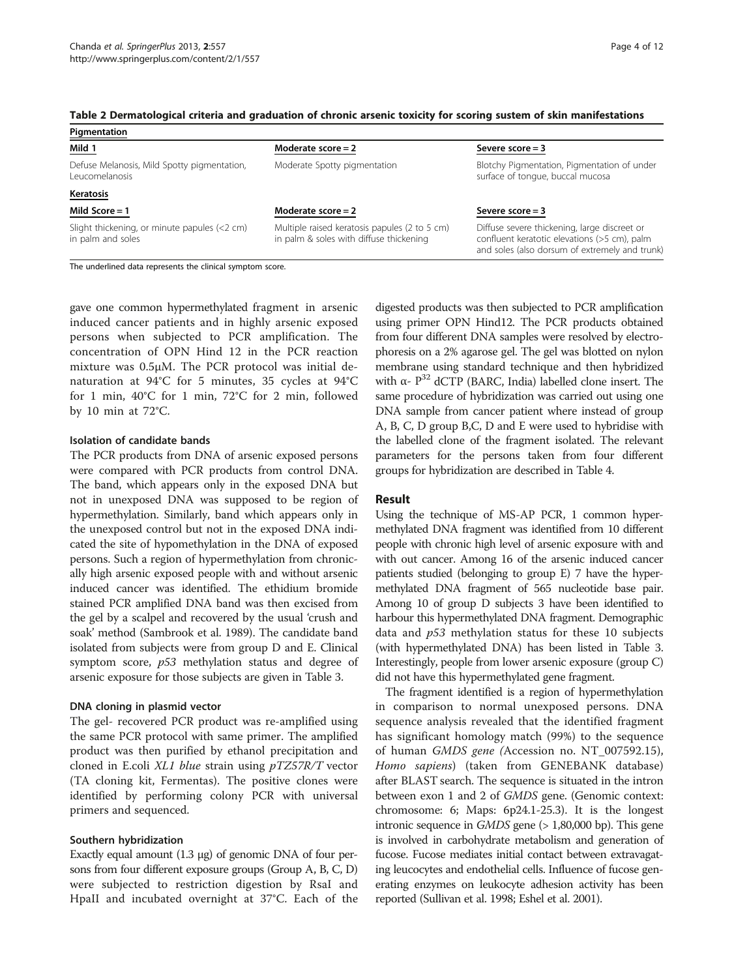<span id="page-3-0"></span>

| Pigmentation                                                      |                                                                                          |                                                                                                                                                |  |  |  |
|-------------------------------------------------------------------|------------------------------------------------------------------------------------------|------------------------------------------------------------------------------------------------------------------------------------------------|--|--|--|
| Mild 1                                                            | Moderate score $= 2$                                                                     | Severe $score = 3$                                                                                                                             |  |  |  |
| Defuse Melanosis, Mild Spotty pigmentation,<br>Leucomelanosis     | Moderate Spotty pigmentation                                                             | Blotchy Pigmentation, Pigmentation of under<br>surface of tonque, buccal mucosa                                                                |  |  |  |
| Keratosis                                                         |                                                                                          |                                                                                                                                                |  |  |  |
| Mild Score $= 1$                                                  | Moderate score $= 2$                                                                     | Severe $score = 3$                                                                                                                             |  |  |  |
| Slight thickening, or minute papules (<2 cm)<br>in palm and soles | Multiple raised keratosis papules (2 to 5 cm)<br>in palm & soles with diffuse thickening | Diffuse severe thickening, large discreet or<br>confluent keratotic elevations (>5 cm), palm<br>and soles (also dorsum of extremely and trunk) |  |  |  |

The underlined data represents the clinical symptom score.

gave one common hypermethylated fragment in arsenic induced cancer patients and in highly arsenic exposed persons when subjected to PCR amplification. The concentration of OPN Hind 12 in the PCR reaction mixture was 0.5μM. The PCR protocol was initial denaturation at 94°C for 5 minutes, 35 cycles at 94°C for 1 min, 40°C for 1 min, 72°C for 2 min, followed by 10 min at 72°C.

#### Isolation of candidate bands

The PCR products from DNA of arsenic exposed persons were compared with PCR products from control DNA. The band, which appears only in the exposed DNA but not in unexposed DNA was supposed to be region of hypermethylation. Similarly, band which appears only in the unexposed control but not in the exposed DNA indicated the site of hypomethylation in the DNA of exposed persons. Such a region of hypermethylation from chronically high arsenic exposed people with and without arsenic induced cancer was identified. The ethidium bromide stained PCR amplified DNA band was then excised from the gel by a scalpel and recovered by the usual 'crush and soak' method (Sambrook et al. [1989\)](#page-11-0). The candidate band isolated from subjects were from group D and E. Clinical symptom score, p53 methylation status and degree of arsenic exposure for those subjects are given in Table [3.](#page-4-0)

#### DNA cloning in plasmid vector

The gel- recovered PCR product was re-amplified using the same PCR protocol with same primer. The amplified product was then purified by ethanol precipitation and cloned in E.coli XL1 blue strain using pTZ57R/T vector (TA cloning kit, Fermentas). The positive clones were identified by performing colony PCR with universal primers and sequenced.

#### Southern hybridization

Exactly equal amount (1.3 μg) of genomic DNA of four persons from four different exposure groups (Group A, B, C, D) were subjected to restriction digestion by RsaI and HpaII and incubated overnight at 37°C. Each of the

digested products was then subjected to PCR amplification using primer OPN Hind12. The PCR products obtained from four different DNA samples were resolved by electrophoresis on a 2% agarose gel. The gel was blotted on nylon membrane using standard technique and then hybridized with α-  $P^{32}$  dCTP (BARC, India) labelled clone insert. The same procedure of hybridization was carried out using one DNA sample from cancer patient where instead of group A, B, C, D group B,C, D and E were used to hybridise with the labelled clone of the fragment isolated. The relevant parameters for the persons taken from four different groups for hybridization are described in Table [4.](#page-4-0)

#### Result

Using the technique of MS-AP PCR, 1 common hypermethylated DNA fragment was identified from 10 different people with chronic high level of arsenic exposure with and with out cancer. Among 16 of the arsenic induced cancer patients studied (belonging to group E) 7 have the hypermethylated DNA fragment of 565 nucleotide base pair. Among 10 of group D subjects 3 have been identified to harbour this hypermethylated DNA fragment. Demographic data and  $p53$  methylation status for these 10 subjects (with hypermethylated DNA) has been listed in Table [3](#page-4-0). Interestingly, people from lower arsenic exposure (group C) did not have this hypermethylated gene fragment.

The fragment identified is a region of hypermethylation in comparison to normal unexposed persons. DNA sequence analysis revealed that the identified fragment has significant homology match (99%) to the sequence of human GMDS gene (Accession no. NT\_007592.15), Homo sapiens) (taken from GENEBANK database) after BLAST search. The sequence is situated in the intron between exon 1 and 2 of GMDS gene. (Genomic context: chromosome: 6; Maps: 6p24.1-25.3). It is the longest intronic sequence in  $GMDS$  gene ( $> 1,80,000$  bp). This gene is involved in carbohydrate metabolism and generation of fucose. Fucose mediates initial contact between extravagating leucocytes and endothelial cells. Influence of fucose generating enzymes on leukocyte adhesion activity has been reported (Sullivan et al. [1998;](#page-11-0) Eshel et al. [2001\)](#page-10-0).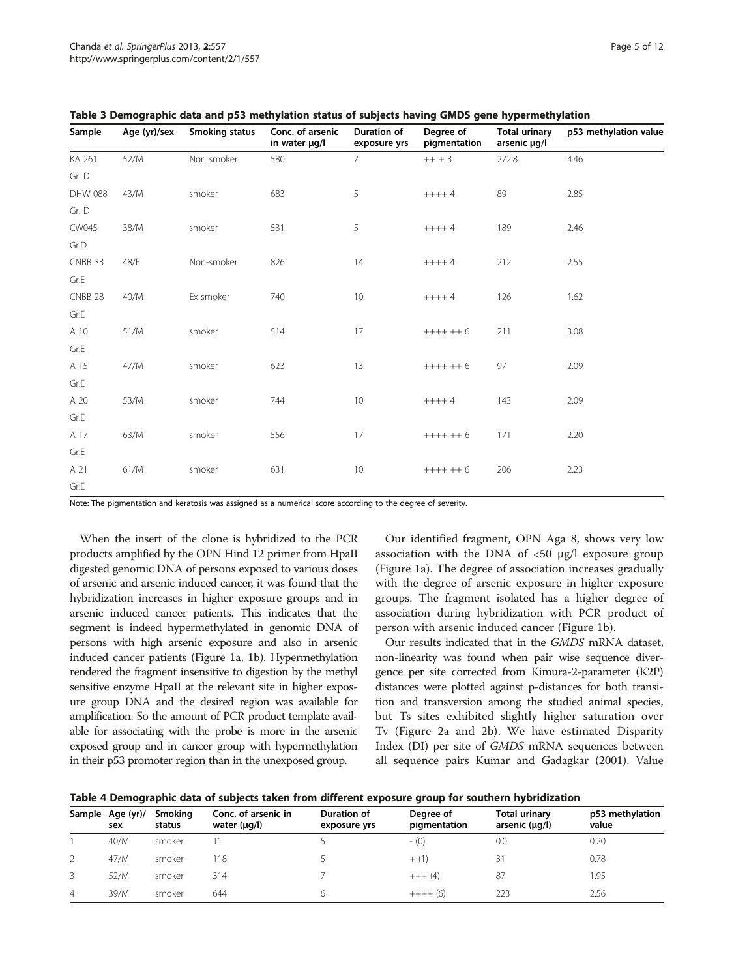| Sample  | Age (yr)/sex | Smoking status | Conc. of arsenic<br>in water µg/l | Duration of<br>exposure yrs | Degree of<br>pigmentation | Total urinary<br>arsenic µg/l | p53 methylation value |
|---------|--------------|----------------|-----------------------------------|-----------------------------|---------------------------|-------------------------------|-----------------------|
| KA 261  | 52/M         | Non smoker     | 580                               | $7^{\circ}$                 | $+++3$                    | 272.8                         | 4.46                  |
| Gr. D   |              |                |                                   |                             |                           |                               |                       |
| DHW 088 | 43/M         | smoker         | 683                               | 5                           | $+++4$                    | 89                            | 2.85                  |
| Gr. D   |              |                |                                   |                             |                           |                               |                       |
| CW045   | 38/M         | smoker         | 531                               | 5                           | $+++4$                    | 189                           | 2.46                  |
| Gr.D    |              |                |                                   |                             |                           |                               |                       |
| CNBB 33 | 48/F         | Non-smoker     | 826                               | 14                          | $+++4$                    | 212                           | 2.55                  |
| Gr.E    |              |                |                                   |                             |                           |                               |                       |
| CNBB 28 | 40/M         | Ex smoker      | 740                               | 10                          | $+++4$                    | 126                           | 1.62                  |
| Gr.E    |              |                |                                   |                             |                           |                               |                       |
| A 10    | 51/M         | smoker         | 514                               | 17                          | $++++6$                   | 211                           | 3.08                  |
| Gr.E    |              |                |                                   |                             |                           |                               |                       |
| A 15    | 47/M         | smoker         | 623                               | 13                          | $++++6$                   | 97                            | 2.09                  |
| Gr.E    |              |                |                                   |                             |                           |                               |                       |
| A 20    | 53/M         | smoker         | 744                               | 10 <sup>°</sup>             | $+++4$                    | 143                           | 2.09                  |
| Gr.E    |              |                |                                   |                             |                           |                               |                       |
| A 17    | 63/M         | smoker         | 556                               | 17                          | $++++6$                   | 171                           | 2.20                  |
| Gr.E    |              |                |                                   |                             |                           |                               |                       |
| A 21    | 61/M         | smoker         | 631                               | 10 <sup>°</sup>             | $+++++6$                  | 206                           | 2.23                  |
| Gr.E    |              |                |                                   |                             |                           |                               |                       |

<span id="page-4-0"></span>Table 3 Demographic data and p53 methylation status of subjects having GMDS gene hypermethylation

Note: The pigmentation and keratosis was assigned as a numerical score according to the degree of severity.

When the insert of the clone is hybridized to the PCR products amplified by the OPN Hind 12 primer from HpaII digested genomic DNA of persons exposed to various doses of arsenic and arsenic induced cancer, it was found that the hybridization increases in higher exposure groups and in arsenic induced cancer patients. This indicates that the segment is indeed hypermethylated in genomic DNA of persons with high arsenic exposure and also in arsenic induced cancer patients (Figure [1](#page-5-0)a, [1b](#page-5-0)). Hypermethylation rendered the fragment insensitive to digestion by the methyl sensitive enzyme HpaII at the relevant site in higher exposure group DNA and the desired region was available for amplification. So the amount of PCR product template available for associating with the probe is more in the arsenic exposed group and in cancer group with hypermethylation in their p53 promoter region than in the unexposed group.

Our identified fragment, OPN Aga 8, shows very low association with the DNA of <50 μg/l exposure group (Figure [1a](#page-5-0)). The degree of association increases gradually with the degree of arsenic exposure in higher exposure groups. The fragment isolated has a higher degree of association during hybridization with PCR product of person with arsenic induced cancer (Figure [1b](#page-5-0)).

Our results indicated that in the GMDS mRNA dataset, non-linearity was found when pair wise sequence divergence per site corrected from Kimura-2-parameter (K2P) distances were plotted against p-distances for both transition and transversion among the studied animal species, but Ts sites exhibited slightly higher saturation over Tv (Figure [2](#page-6-0)a and [2b](#page-6-0)). We have estimated Disparity Index (DI) per site of GMDS mRNA sequences between all sequence pairs Kumar and Gadagkar [\(2001\)](#page-11-0). Value

Table 4 Demographic data of subjects taken from different exposure group for southern hybridization

|   | Sample Age (yr)/<br>sex | Smoking<br>status | Conc. of arsenic in<br>water $(\mu q/l)$ | Duration of<br>exposure yrs | Degree of<br>pigmentation | <b>Total urinary</b><br>arsenic $(\mu q/l)$ | p53 methylation<br>value |
|---|-------------------------|-------------------|------------------------------------------|-----------------------------|---------------------------|---------------------------------------------|--------------------------|
|   | 40/M                    | smoker            |                                          |                             | $-$ (0)                   | 0.0                                         | 0.20                     |
| 2 | 47/M                    | smoker            | 18                                       |                             | $+$ (1)                   | 31                                          | 0.78                     |
| 3 | 52/M                    | smoker            | 314                                      |                             | $+++ (4)$                 | 87                                          | 1.95                     |
| 4 | 39/M                    | smoker            | 644                                      | 6                           | $+++ (6)$                 | 223                                         | 2.56                     |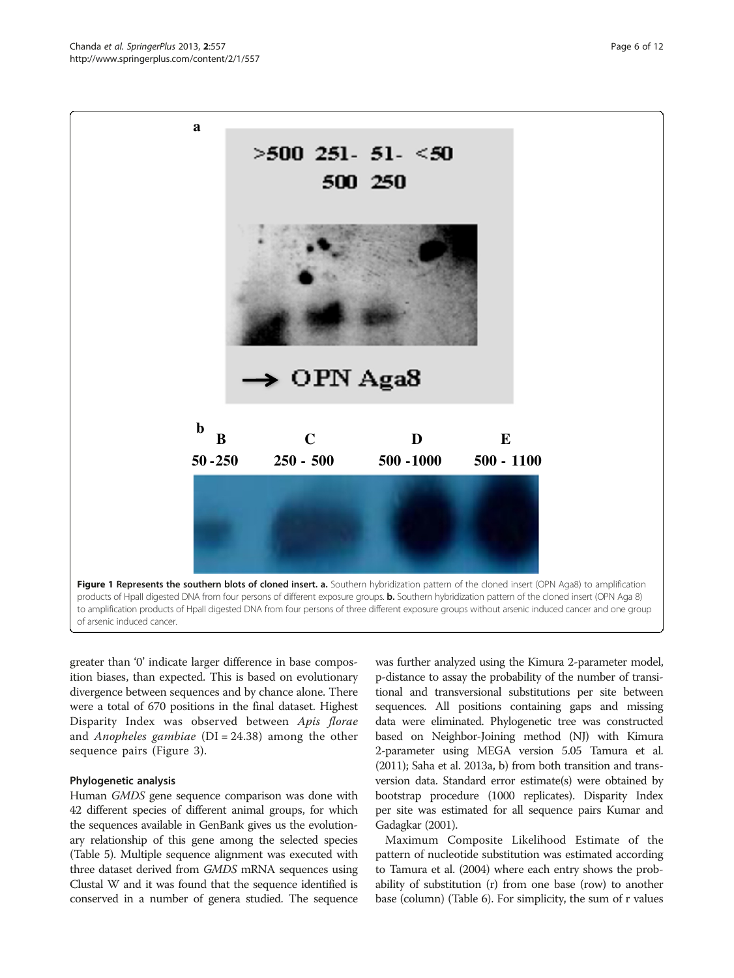<span id="page-5-0"></span>

greater than '0' indicate larger difference in base composition biases, than expected. This is based on evolutionary divergence between sequences and by chance alone. There were a total of 670 positions in the final dataset. Highest Disparity Index was observed between Apis florae and *Anopheles gambiae* ( $DI = 24.38$ ) among the other sequence pairs (Figure [3](#page-6-0)).

#### Phylogenetic analysis

Human GMDS gene sequence comparison was done with 42 different species of different animal groups, for which the sequences available in GenBank gives us the evolutionary relationship of this gene among the selected species (Table [5](#page-7-0)). Multiple sequence alignment was executed with three dataset derived from GMDS mRNA sequences using Clustal W and it was found that the sequence identified is conserved in a number of genera studied. The sequence

was further analyzed using the Kimura 2-parameter model, p-distance to assay the probability of the number of transitional and transversional substitutions per site between sequences. All positions containing gaps and missing data were eliminated. Phylogenetic tree was constructed based on Neighbor-Joining method (NJ) with Kimura 2-parameter using MEGA version 5.05 Tamura et al. ([2011\)](#page-11-0); Saha et al. [2013a](#page-11-0), [b\)](#page-11-0) from both transition and transversion data. Standard error estimate(s) were obtained by bootstrap procedure (1000 replicates). Disparity Index per site was estimated for all sequence pairs Kumar and Gadagkar ([2001\)](#page-11-0).

Maximum Composite Likelihood Estimate of the pattern of nucleotide substitution was estimated according to Tamura et al. ([2004\)](#page-11-0) where each entry shows the probability of substitution (r) from one base (row) to another base (column) (Table [6\)](#page-8-0). For simplicity, the sum of r values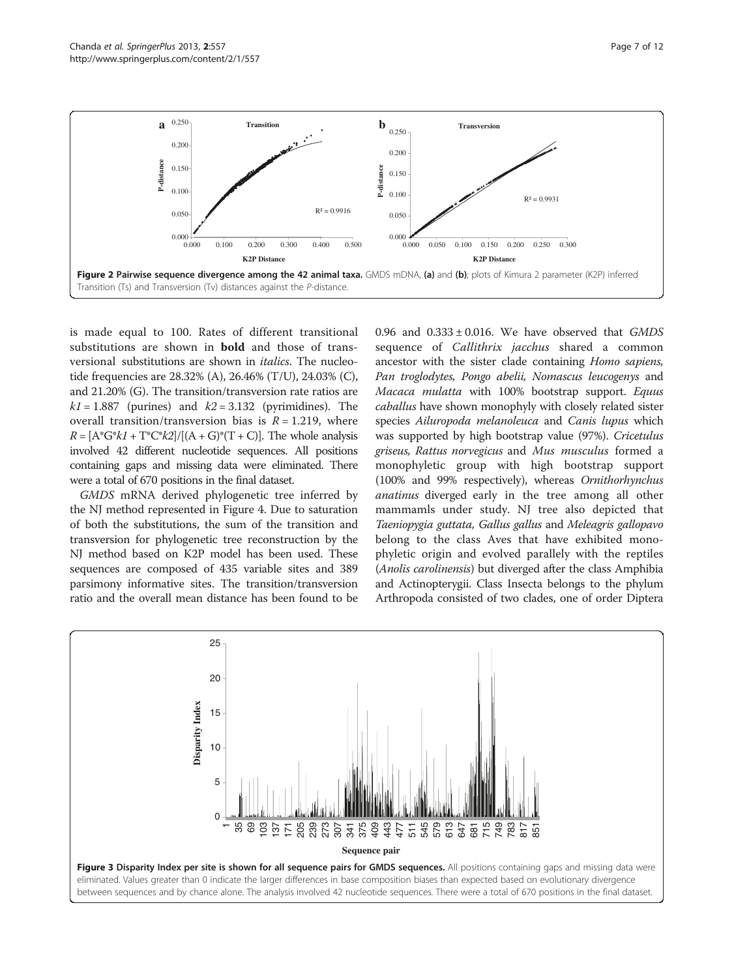<span id="page-6-0"></span>

is made equal to 100. Rates of different transitional substitutions are shown in bold and those of transversional substitutions are shown in italics. The nucleotide frequencies are 28.32% (A), 26.46% (T/U), 24.03% (C), and 21.20% (G). The transition/transversion rate ratios are  $k1 = 1.887$  (purines) and  $k2 = 3.132$  (pyrimidines). The overall transition/transversion bias is  $R = 1.219$ , where  $R = [A^*G^*k1 + T^*C^*k2]/[(A+G)^*(T+C)]$ . The whole analysis involved 42 different nucleotide sequences. All positions containing gaps and missing data were eliminated. There were a total of 670 positions in the final dataset.

GMDS mRNA derived phylogenetic tree inferred by the NJ method represented in Figure [4](#page-8-0). Due to saturation of both the substitutions, the sum of the transition and transversion for phylogenetic tree reconstruction by the NJ method based on K2P model has been used. These sequences are composed of 435 variable sites and 389 parsimony informative sites. The transition/transversion ratio and the overall mean distance has been found to be 0.96 and  $0.333 \pm 0.016$ . We have observed that GMDS sequence of Callithrix jacchus shared a common ancestor with the sister clade containing Homo sapiens, Pan troglodytes, Pongo abelii, Nomascus leucogenys and Macaca mulatta with 100% bootstrap support. Equus caballus have shown monophyly with closely related sister species Ailuropoda melanoleuca and Canis lupus which was supported by high bootstrap value (97%). Cricetulus griseus, Rattus norvegicus and Mus musculus formed a monophyletic group with high bootstrap support (100% and 99% respectively), whereas Ornithorhynchus anatinus diverged early in the tree among all other mammamls under study. NJ tree also depicted that Taeniopygia guttata, Gallus gallus and Meleagris gallopavo belong to the class Aves that have exhibited monophyletic origin and evolved parallely with the reptiles (Anolis carolinensis) but diverged after the class Amphibia and Actinopterygii. Class Insecta belongs to the phylum Arthropoda consisted of two clades, one of order Diptera

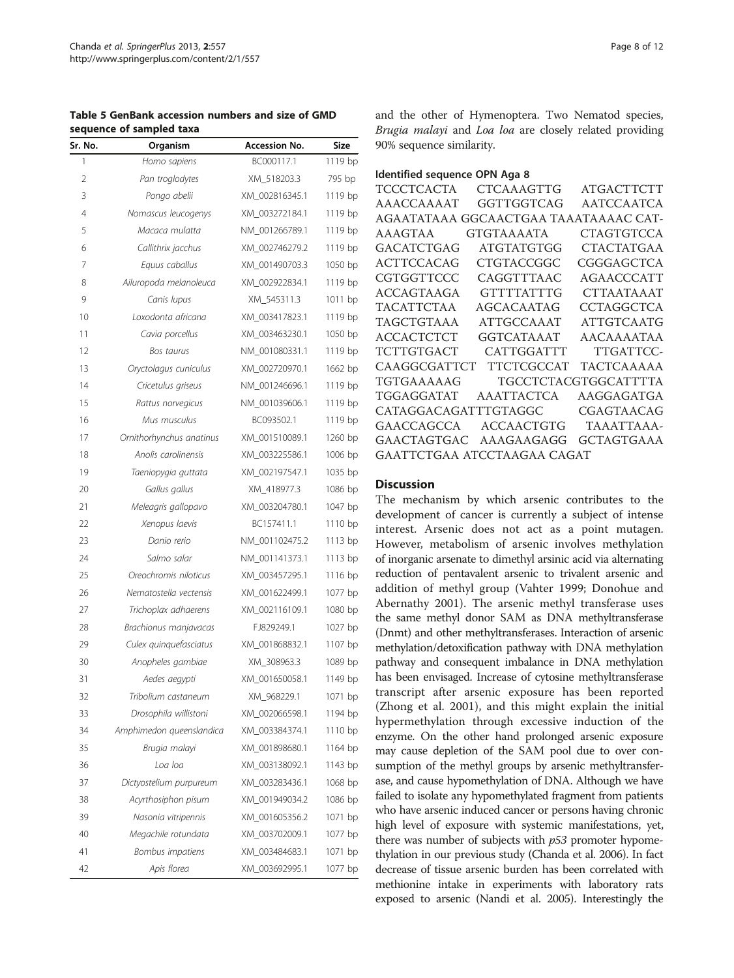<span id="page-7-0"></span>Table 5 GenBank accession numbers and size of GMD sequence of sampled taxa

| Sr. No.        | Organism                 | <b>Accession No.</b> | Size      |
|----------------|--------------------------|----------------------|-----------|
| 1              | Homo sapiens             | BC000117.1           | 1119 bp   |
| 2              | Pan troglodytes          | XM_518203.3          | 795 bp    |
| 3              | Pongo abelii             | XM_002816345.1       | 1119 bp   |
| $\overline{4}$ | Nomascus leucogenys      | XM 003272184.1       | 1119 bp   |
| 5              | Macaca mulatta           | NM_001266789.1       | 1119 bp   |
| 6              | Callithrix jacchus       | XM 002746279.2       | 1119 bp   |
| 7              | Equus caballus           | XM_001490703.3       | 1050 bp   |
| 8              | Ailuropoda melanoleuca   | XM_002922834.1       | 1119 bp   |
| 9              | Canis lupus              | XM 545311.3          | 1011 bp   |
| 10             | Loxodonta africana       | XM_003417823.1       | 1119 bp   |
| 11             | Cavia porcellus          | XM_003463230.1       | 1050 bp   |
| 12             | Bos taurus               | NM_001080331.1       | 1119 bp   |
| 13             | Oryctolagus cuniculus    | XM_002720970.1       | 1662 bp   |
| 14             | Cricetulus griseus       | NM_001246696.1       | 1119 bp   |
| 15             | Rattus norvegicus        | NM_001039606.1       | $1119$ bp |
| 16             | Mus musculus             | BC093502.1           | 1119 bp   |
| 17             | Ornithorhynchus anatinus | XM_001510089.1       | 1260 bp   |
| 18             | Anolis carolinensis      | XM 003225586.1       | 1006 bp   |
| 19             | Taeniopygia guttata      | XM 002197547.1       | 1035 bp   |
| 20             | Gallus gallus            | XM_418977.3          | 1086 bp   |
| 21             | Meleagris gallopavo      | XM_003204780.1       | 1047 bp   |
| 22             | Xenopus laevis           | BC157411.1           | 1110 bp   |
| 23             | Danio rerio              | NM_001102475.2       | 1113 bp   |
| 24             | Salmo salar              | NM_001141373.1       | $1113$ bp |
| 25             | Oreochromis niloticus    | XM_003457295.1       | 1116 bp   |
| 26             | Nematostella vectensis   | XM_001622499.1       | 1077 bp   |
| 27             | Trichoplax adhaerens     | XM_002116109.1       | 1080 bp   |
| 28             | Brachionus manjavacas    | FJ829249.1           | 1027 bp   |
| 29             | Culex quinquefasciatus   | XM_001868832.1       | 1107 bp   |
| 30             | Anopheles gambiae        | XM_308963.3          | 1089 bp   |
| 31             | Aedes aegypti            | XM 001650058.1       | 1149 bp   |
| 32             | Tribolium castaneum      | XM_968229.1          | 1071 bp   |
| 33             | Drosophila willistoni    | XM_002066598.1       | 1194 bp   |
| 34             | Amphimedon queenslandica | XM_003384374.1       | 1110 bp   |
| 35             | Brugia malayi            | XM_001898680.1       | 1164 bp   |
| 36             | Loa loa                  | XM_003138092.1       | 1143 bp   |
| 37             | Dictyostelium purpureum  | XM_003283436.1       | 1068 bp   |
| 38             | Acyrthosiphon pisum      | XM_001949034.2       | 1086 bp   |
| 39             | Nasonia vitripennis      | XM 001605356.2       | 1071 bp   |
| 40             | Megachile rotundata      | XM_003702009.1       | 1077 bp   |
| 41             | Bombus impatiens         | XM_003484683.1       | 1071 bp   |
| 42             | Apis florea              | XM_003692995.1       | 1077 bp   |

and the other of Hymenoptera. Two Nematod species, Brugia malayi and Loa loa are closely related providing 90% sequence similarity.

|  | Identified sequence OPN Aga 8 |  |  |  |
|--|-------------------------------|--|--|--|
|--|-------------------------------|--|--|--|

| <b>TCCCTCACTA</b>    | CTCAAAGTTG                            | <b>ATGACTTCTT</b>    |
|----------------------|---------------------------------------|----------------------|
| AAACCAAAAT           | GGTTGGTCAG                            | <b>AATCCAATCA</b>    |
|                      | AGAATATAAA GGCAACTGAA TAAATAAAAC CAT- |                      |
| AAAGTAA              | <b>GTGTAAAATA</b>                     | <b>CTAGTGTCCA</b>    |
| GACATCTGAG           | ATGTATGTGG                            | CTACTATGAA           |
| <b>ACTTCCACAG</b>    | <b>CTGTACCGGC</b>                     | CGGGAGCTCA           |
| CGTGGTTCCC           | CAGGTTTAAC                            | <b>AGAACCCATT</b>    |
| ACCAGTAAGA           | <b>GTTTTATTTG</b>                     | CTTAATAAAT           |
| <b>TACATTCTAA</b>    | AGCACAATAG                            | <b>CCTAGGCTCA</b>    |
| TAGCTGTAAA           | ATTGCCAAAT                            | <b>ATTGTCAATG</b>    |
| <b>ACCACTCTCT</b>    | <b>GGTCATAAAT</b>                     | AACAAAATAA           |
| <b>TCTTGTGACT</b>    | CATTGGATTT                            | TTGATTCC-            |
| CAAGGCGATTCT         | <b>TTCTCGCCAT</b>                     | TACTCAAAAA           |
| TGTGAAAAAG           |                                       | TGCCTCTACGTGGCATTTTA |
| TGGAGGATAT           | AAATTACTCA                            | AAGGAGATGA           |
| CATAGGACAGATTTGTAGGC |                                       | CGAGTAACAG           |
| GAACCAGCCA           | ACCAACTGTG                            | TAAATTAAA-           |
| GAACTAGTGAC          | AAAGAAGAGG                            | <b>GCTAGTGAAA</b>    |
|                      | GAATTCTGAA ATCCTAAGAA CAGAT           |                      |
|                      |                                       |                      |

# **Discussion**

The mechanism by which arsenic contributes to the development of cancer is currently a subject of intense interest. Arsenic does not act as a point mutagen. However, metabolism of arsenic involves methylation of inorganic arsenate to dimethyl arsinic acid via alternating reduction of pentavalent arsenic to trivalent arsenic and addition of methyl group (Vahter [1999;](#page-11-0) Donohue and Abernathy [2001](#page-10-0)). The arsenic methyl transferase uses the same methyl donor SAM as DNA methyltransferase (Dnmt) and other methyltransferases. Interaction of arsenic methylation/detoxification pathway with DNA methylation pathway and consequent imbalance in DNA methylation has been envisaged. Increase of cytosine methyltransferase transcript after arsenic exposure has been reported (Zhong et al. [2001](#page-11-0)), and this might explain the initial hypermethylation through excessive induction of the enzyme. On the other hand prolonged arsenic exposure may cause depletion of the SAM pool due to over consumption of the methyl groups by arsenic methyltransferase, and cause hypomethylation of DNA. Although we have failed to isolate any hypomethylated fragment from patients who have arsenic induced cancer or persons having chronic high level of exposure with systemic manifestations, yet, there was number of subjects with  $p53$  promoter hypomethylation in our previous study (Chanda et al. [2006](#page-10-0)). In fact decrease of tissue arsenic burden has been correlated with methionine intake in experiments with laboratory rats exposed to arsenic (Nandi et al. [2005\)](#page-11-0). Interestingly the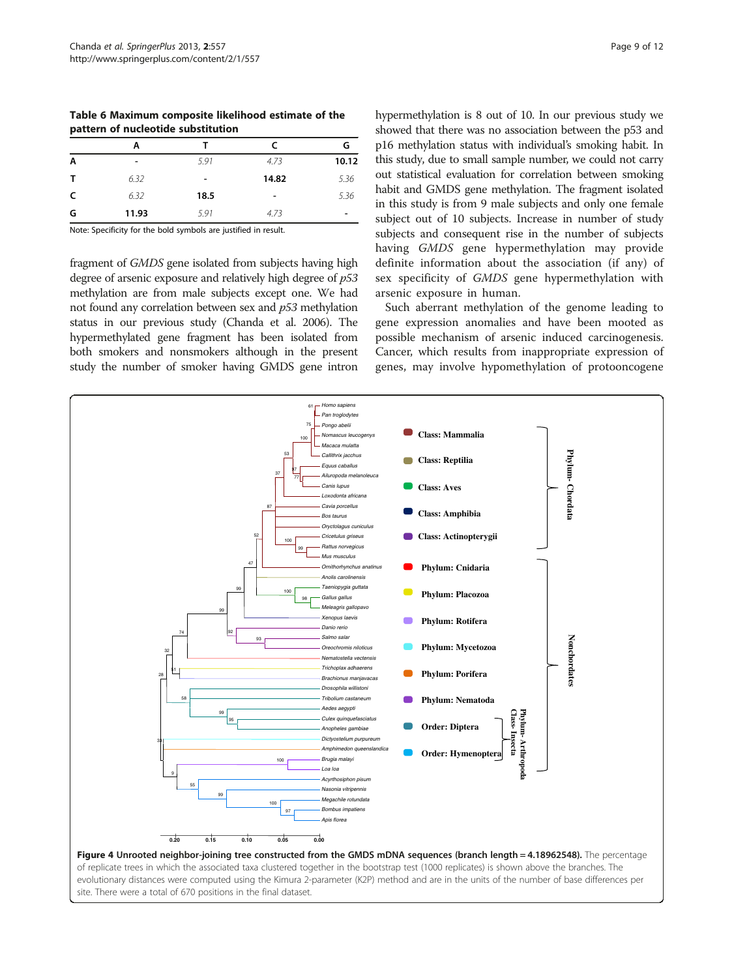<span id="page-8-0"></span>Table 6 Maximum composite likelihood estimate of the pattern of nucleotide substitution

| А                        |      | C                        | G     |
|--------------------------|------|--------------------------|-------|
| $\overline{\phantom{a}}$ | 5.91 | 4.73                     | 10.12 |
| 6.32                     | ۰    | 14.82                    | 5.36  |
| 6.32                     | 18.5 | $\overline{\phantom{a}}$ | 5.36  |
| 11.93                    | 5.91 | 4.73                     |       |
|                          |      |                          |       |

Note: Specificity for the bold symbols are justified in result.

fragment of GMDS gene isolated from subjects having high degree of arsenic exposure and relatively high degree of p53 methylation are from male subjects except one. We had not found any correlation between sex and p53 methylation status in our previous study (Chanda et al. [2006\)](#page-10-0). The hypermethylated gene fragment has been isolated from both smokers and nonsmokers although in the present study the number of smoker having GMDS gene intron

hypermethylation is 8 out of 10. In our previous study we showed that there was no association between the p53 and p16 methylation status with individual's smoking habit. In this study, due to small sample number, we could not carry out statistical evaluation for correlation between smoking habit and GMDS gene methylation. The fragment isolated in this study is from 9 male subjects and only one female subject out of 10 subjects. Increase in number of study subjects and consequent rise in the number of subjects having GMDS gene hypermethylation may provide definite information about the association (if any) of sex specificity of GMDS gene hypermethylation with arsenic exposure in human.

Such aberrant methylation of the genome leading to gene expression anomalies and have been mooted as possible mechanism of arsenic induced carcinogenesis. Cancer, which results from inappropriate expression of genes, may involve hypomethylation of protooncogene

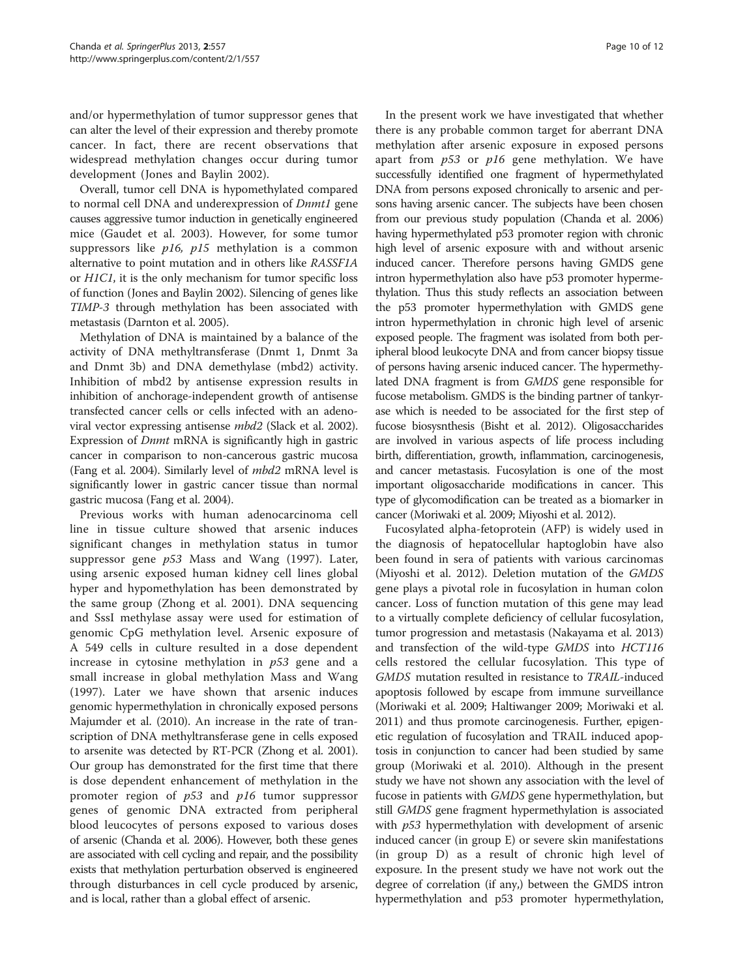and/or hypermethylation of tumor suppressor genes that can alter the level of their expression and thereby promote cancer. In fact, there are recent observations that widespread methylation changes occur during tumor development (Jones and Baylin [2002](#page-11-0)).

Overall, tumor cell DNA is hypomethylated compared to normal cell DNA and underexpression of *Dnmt1* gene causes aggressive tumor induction in genetically engineered mice (Gaudet et al. [2003](#page-10-0)). However, for some tumor suppressors like  $p16$ ,  $p15$  methylation is a common alternative to point mutation and in others like RASSF1A or H1C1, it is the only mechanism for tumor specific loss of function (Jones and Baylin [2002\)](#page-11-0). Silencing of genes like TIMP-3 through methylation has been associated with metastasis (Darnton et al. [2005\)](#page-10-0).

Methylation of DNA is maintained by a balance of the activity of DNA methyltransferase (Dnmt 1, Dnmt 3a and Dnmt 3b) and DNA demethylase (mbd2) activity. Inhibition of mbd2 by antisense expression results in inhibition of anchorage-independent growth of antisense transfected cancer cells or cells infected with an adenoviral vector expressing antisense mbd2 (Slack et al. [2002](#page-11-0)). Expression of Dnmt mRNA is significantly high in gastric cancer in comparison to non-cancerous gastric mucosa (Fang et al. [2004\)](#page-10-0). Similarly level of mbd2 mRNA level is significantly lower in gastric cancer tissue than normal gastric mucosa (Fang et al. [2004](#page-10-0)).

Previous works with human adenocarcinoma cell line in tissue culture showed that arsenic induces significant changes in methylation status in tumor suppressor gene  $p53$  Mass and Wang ([1997\)](#page-11-0). Later, using arsenic exposed human kidney cell lines global hyper and hypomethylation has been demonstrated by the same group (Zhong et al. [2001](#page-11-0)). DNA sequencing and SssI methylase assay were used for estimation of genomic CpG methylation level. Arsenic exposure of A 549 cells in culture resulted in a dose dependent increase in cytosine methylation in  $p53$  gene and a small increase in global methylation Mass and Wang ([1997\)](#page-11-0). Later we have shown that arsenic induces genomic hypermethylation in chronically exposed persons Majumder et al. [\(2010](#page-11-0)). An increase in the rate of transcription of DNA methyltransferase gene in cells exposed to arsenite was detected by RT-PCR (Zhong et al. [2001](#page-11-0)). Our group has demonstrated for the first time that there is dose dependent enhancement of methylation in the promoter region of p53 and p16 tumor suppressor genes of genomic DNA extracted from peripheral blood leucocytes of persons exposed to various doses of arsenic (Chanda et al. [2006\)](#page-10-0). However, both these genes are associated with cell cycling and repair, and the possibility exists that methylation perturbation observed is engineered through disturbances in cell cycle produced by arsenic, and is local, rather than a global effect of arsenic.

In the present work we have investigated that whether there is any probable common target for aberrant DNA methylation after arsenic exposure in exposed persons apart from  $p53$  or  $p16$  gene methylation. We have successfully identified one fragment of hypermethylated DNA from persons exposed chronically to arsenic and persons having arsenic cancer. The subjects have been chosen from our previous study population (Chanda et al. [2006](#page-10-0)) having hypermethylated p53 promoter region with chronic high level of arsenic exposure with and without arsenic induced cancer. Therefore persons having GMDS gene intron hypermethylation also have p53 promoter hypermethylation. Thus this study reflects an association between the p53 promoter hypermethylation with GMDS gene intron hypermethylation in chronic high level of arsenic exposed people. The fragment was isolated from both peripheral blood leukocyte DNA and from cancer biopsy tissue of persons having arsenic induced cancer. The hypermethylated DNA fragment is from GMDS gene responsible for fucose metabolism. GMDS is the binding partner of tankyrase which is needed to be associated for the first step of fucose biosysnthesis (Bisht et al. [2012\)](#page-10-0). Oligosaccharides are involved in various aspects of life process including birth, differentiation, growth, inflammation, carcinogenesis, and cancer metastasis. Fucosylation is one of the most important oligosaccharide modifications in cancer. This type of glycomodification can be treated as a biomarker in cancer (Moriwaki et al. [2009](#page-11-0); Miyoshi et al. [2012\)](#page-11-0).

Fucosylated alpha-fetoprotein (AFP) is widely used in the diagnosis of hepatocellular haptoglobin have also been found in sera of patients with various carcinomas (Miyoshi et al. [2012](#page-11-0)). Deletion mutation of the GMDS gene plays a pivotal role in fucosylation in human colon cancer. Loss of function mutation of this gene may lead to a virtually complete deficiency of cellular fucosylation, tumor progression and metastasis (Nakayama et al. [2013](#page-11-0)) and transfection of the wild-type GMDS into HCT116 cells restored the cellular fucosylation. This type of GMDS mutation resulted in resistance to TRAIL-induced apoptosis followed by escape from immune surveillance (Moriwaki et al. [2009;](#page-11-0) Haltiwanger [2009](#page-10-0); Moriwaki et al. [2011](#page-11-0)) and thus promote carcinogenesis. Further, epigenetic regulation of fucosylation and TRAIL induced apoptosis in conjunction to cancer had been studied by same group (Moriwaki et al. [2010\)](#page-11-0). Although in the present study we have not shown any association with the level of fucose in patients with GMDS gene hypermethylation, but still GMDS gene fragment hypermethylation is associated with  $p53$  hypermethylation with development of arsenic induced cancer (in group E) or severe skin manifestations (in group D) as a result of chronic high level of exposure. In the present study we have not work out the degree of correlation (if any,) between the GMDS intron hypermethylation and p53 promoter hypermethylation,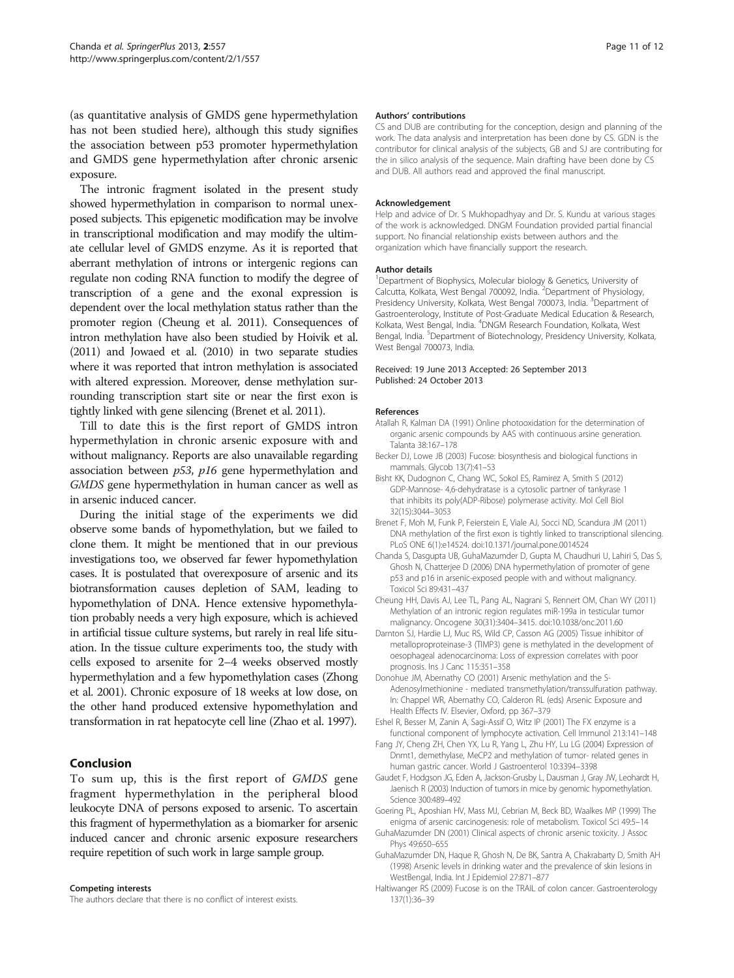<span id="page-10-0"></span>(as quantitative analysis of GMDS gene hypermethylation has not been studied here), although this study signifies the association between p53 promoter hypermethylation and GMDS gene hypermethylation after chronic arsenic exposure.

The intronic fragment isolated in the present study showed hypermethylation in comparison to normal unexposed subjects. This epigenetic modification may be involve in transcriptional modification and may modify the ultimate cellular level of GMDS enzyme. As it is reported that aberrant methylation of introns or intergenic regions can regulate non coding RNA function to modify the degree of transcription of a gene and the exonal expression is dependent over the local methylation status rather than the promoter region (Cheung et al. 2011). Consequences of intron methylation have also been studied by Hoivik et al. ([2011\)](#page-11-0) and Jowaed et al. ([2010](#page-11-0)) in two separate studies where it was reported that intron methylation is associated with altered expression. Moreover, dense methylation surrounding transcription start site or near the first exon is tightly linked with gene silencing (Brenet et al. 2011).

Till to date this is the first report of GMDS intron hypermethylation in chronic arsenic exposure with and without malignancy. Reports are also unavailable regarding association between  $p53$ ,  $p16$  gene hypermethylation and GMDS gene hypermethylation in human cancer as well as in arsenic induced cancer.

During the initial stage of the experiments we did observe some bands of hypomethylation, but we failed to clone them. It might be mentioned that in our previous investigations too, we observed far fewer hypomethylation cases. It is postulated that overexposure of arsenic and its biotransformation causes depletion of SAM, leading to hypomethylation of DNA. Hence extensive hypomethylation probably needs a very high exposure, which is achieved in artificial tissue culture systems, but rarely in real life situation. In the tissue culture experiments too, the study with cells exposed to arsenite for 2–4 weeks observed mostly hypermethylation and a few hypomethylation cases (Zhong et al. [2001\)](#page-11-0). Chronic exposure of 18 weeks at low dose, on the other hand produced extensive hypomethylation and transformation in rat hepatocyte cell line (Zhao et al. [1997](#page-11-0)).

# Conclusion

To sum up, this is the first report of GMDS gene fragment hypermethylation in the peripheral blood leukocyte DNA of persons exposed to arsenic. To ascertain this fragment of hypermethylation as a biomarker for arsenic induced cancer and chronic arsenic exposure researchers require repetition of such work in large sample group.

#### Competing interests

The authors declare that there is no conflict of interest exists.

#### Authors' contributions

CS and DUB are contributing for the conception, design and planning of the work. The data analysis and interpretation has been done by CS. GDN is the contributor for clinical analysis of the subjects, GB and SJ are contributing for the in silico analysis of the sequence. Main drafting have been done by CS and DUB. All authors read and approved the final manuscript.

#### Acknowledgement

Help and advice of Dr. S Mukhopadhyay and Dr. S. Kundu at various stages of the work is acknowledged. DNGM Foundation provided partial financial support. No financial relationship exists between authors and the organization which have financially support the research.

#### Author details

<sup>1</sup>Department of Biophysics, Molecular biology & Genetics, University of Calcutta, Kolkata, West Bengal 700092, India. <sup>2</sup>Department of Physiology, Presidency University, Kolkata, West Bengal 700073, India. <sup>3</sup>Department of Gastroenterology, Institute of Post-Graduate Medical Education & Research, Kolkata, West Bengal, India. <sup>4</sup>DNGM Research Foundation, Kolkata, West Bengal, India. <sup>5</sup>Department of Biotechnology, Presidency University, Kolkata West Bengal 700073, India.

#### Received: 19 June 2013 Accepted: 26 September 2013 Published: 24 October 2013

#### References

- Atallah R, Kalman DA (1991) Online photooxidation for the determination of organic arsenic compounds by AAS with continuous arsine generation. Talanta 38:167–178
- Becker DJ, Lowe JB (2003) Fucose: biosynthesis and biological functions in mammals. Glycob 13(7):41–53
- Bisht KK, Dudognon C, Chang WC, Sokol ES, Ramirez A, Smith S (2012) GDP-Mannose- 4,6-dehydratase is a cytosolic partner of tankyrase 1 that inhibits its poly(ADP-Ribose) polymerase activity. Mol Cell Biol 32(15):3044–3053
- Brenet F, Moh M, Funk P, Feierstein E, Viale AJ, Socci ND, Scandura JM (2011) DNA methylation of the first exon is tightly linked to transcriptional silencing. PLoS ONE 6(1):e14524. doi:10.1371/journal.pone.0014524
- Chanda S, Dasgupta UB, GuhaMazumder D, Gupta M, Chaudhuri U, Lahiri S, Das S, Ghosh N, Chatterjee D (2006) DNA hypermethylation of promoter of gene p53 and p16 in arsenic-exposed people with and without malignancy. Toxicol Sci 89:431–437
- Cheung HH, Davis AJ, Lee TL, Pang AL, Nagrani S, Rennert OM, Chan WY (2011) Methylation of an intronic region regulates miR-199a in testicular tumor malignancy. Oncogene 30(31):3404–3415. doi:10.1038/onc.2011.60
- Darnton SJ, Hardie LJ, Muc RS, Wild CP, Casson AG (2005) Tissue inhibitor of metalloproproteinase-3 (TIMP3) gene is methylated in the development of oesophageal adenocarcinoma: Loss of expression correlates with poor prognosis. Ins J Canc 115:351–358
- Donohue JM, Abernathy CO (2001) Arsenic methylation and the S-Adenosylmethionine - mediated transmethylation/transsulfuration pathway. In: Chappel WR, Abernathy CO, Calderon RL (eds) Arsenic Exposure and Health Effects IV. Elsevier, Oxford, pp 367–379
- Eshel R, Besser M, Zanin A, Sagi-Assif O, Witz IP (2001) The FX enzyme is a functional component of lymphocyte activation. Cell Immunol 213:141–148
- Fang JY, Cheng ZH, Chen YX, Lu R, Yang L, Zhu HY, Lu LG (2004) Expression of Dnmt1, demethylase, MeCP2 and methylation of tumor- related genes in human gastric cancer. World J Gastroenterol 10:3394–3398
- Gaudet F, Hodgson JG, Eden A, Jackson-Grusby L, Dausman J, Gray JW, Leohardt H, Jaenisch R (2003) Induction of tumors in mice by genomic hypomethylation. Science 300:489–492
- Goering PL, Aposhian HV, Mass MJ, Cebrian M, Beck BD, Waalkes MP (1999) The enigma of arsenic carcinogenesis: role of metabolism. Toxicol Sci 49:5–14
- GuhaMazumder DN (2001) Clinical aspects of chronic arsenic toxicity. J Assoc Phys 49:650–655
- GuhaMazumder DN, Haque R, Ghosh N, De BK, Santra A, Chakrabarty D, Smith AH (1998) Arsenic levels in drinking water and the prevalence of skin lesions in WestBengal, India. Int J Epidemiol 27:871–877
- Haltiwanger RS (2009) Fucose is on the TRAIL of colon cancer. Gastroenterology 137(1):36–39